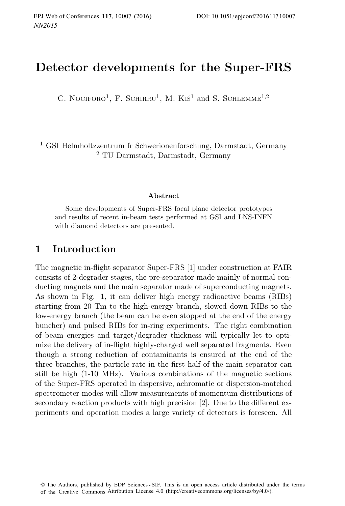# **Detector developments for the Super-FRS**

C. NOCIFORO<sup>1</sup>, F. SCHIRRU<sup>1</sup>, M. KIŠ<sup>1</sup> and S. SCHLEMME<sup>1,2</sup>

<sup>1</sup> GSI Helmholtzzentrum fr Schwerionenforschung, Darmstadt, Germany <sup>2</sup> TU Darmstadt, Darmstadt, Germany

#### **Abstract**

Some developments of Super-FRS focal plane detector prototypes and results of recent in-beam tests performed at GSI and LNS-INFN with diamond detectors are presented.

#### **1 Introduction**

The magnetic in-flight separator Super-FRS [1] under construction at FAIR consists of 2-degrader stages, the pre-separator made mainly of normal conducting magnets and the main separator made of superconducting magnets. As shown in Fig. 1, it can deliver high energy radioactive beams (RIBs) starting from 20 Tm to the high-energy branch, slowed down RIBs to the low-energy branch (the beam can be even stopped at the end of the energy buncher) and pulsed RIBs for in-ring experiments. The right combination of beam energies and target/degrader thickness will typically let to optimize the delivery of in-flight highly-charged well separated fragments. Even though a strong reduction of contaminants is ensured at the end of the three branches, the particle rate in the first half of the main separator can still be high (1-10 MHz). Various combinations of the magnetic sections of the Super-FRS operated in dispersive, achromatic or dispersion-matched spectrometer modes will allow measurements of momentum distributions of secondary reaction products with high precision [2]. Due to the different experiments and operation modes a large variety of detectors is foreseen. All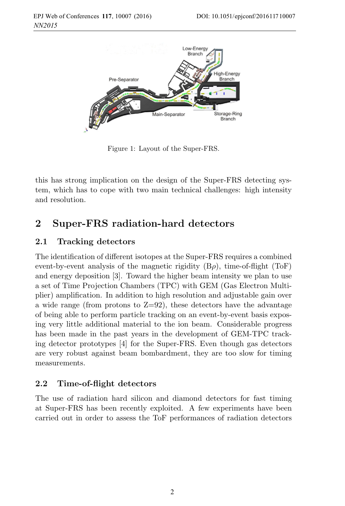

Figure 1: Layout of the Super-FRS.

this has strong implication on the design of the Super-FRS detecting system, which has to cope with two main technical challenges: high intensity and resolution.

# **2 Super-FRS radiation-hard detectors**

#### **2.1 Tracking detectors**

The identification of different isotopes at the Super-FRS requires a combined event-by-event analysis of the magnetic rigidity  $(B\rho)$ , time-of-flight (ToF) and energy deposition [3]. Toward the higher beam intensity we plan to use a set of Time Projection Chambers (TPC) with GEM (Gas Electron Multiplier) amplification. In addition to high resolution and adjustable gain over a wide range (from protons to  $Z=92$ ), these detectors have the advantage of being able to perform particle tracking on an event-by-event basis exposing very little additional material to the ion beam. Considerable progress has been made in the past years in the development of GEM-TPC tracking detector prototypes [4] for the Super-FRS. Even though gas detectors are very robust against beam bombardment, they are too slow for timing measurements.

#### **2.2 Time-of-flight detectors**

The use of radiation hard silicon and diamond detectors for fast timing at Super-FRS has been recently exploited. A few experiments have been carried out in order to assess the ToF performances of radiation detectors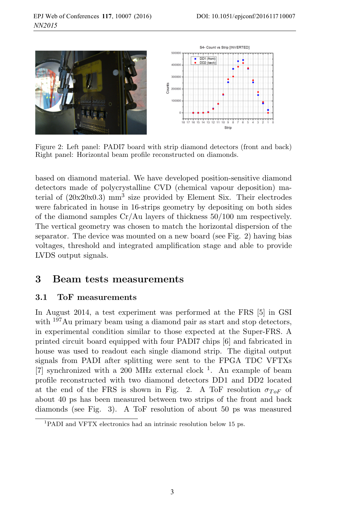

Figure 2: Left panel: PADI7 board with strip diamond detectors (front and back) Right panel: Horizontal beam profile reconstructed on diamonds.

based on diamond material. We have developed position-sensitive diamond detectors made of polycrystalline CVD (chemical vapour deposition) material of  $(20x20x0.3)$  mm<sup>3</sup> size provided by Element Six. Their electrodes were fabricated in house in 16-strips geometry by depositing on both sides of the diamond samples  $Cr/Au$  layers of thickness  $50/100$  nm respectively. The vertical geometry was chosen to match the horizontal dispersion of the separator. The device was mounted on a new board (see Fig. 2) having bias voltages, threshold and integrated amplification stage and able to provide LVDS output signals.

### **3 Beam tests measurements**

#### **3.1 ToF measurements**

In August 2014, a test experiment was performed at the FRS [5] in GSI with  $197\text{Au primary beam using a diamond pair as start and stop detectors, }$ in experimental condition similar to those expected at the Super-FRS. A printed circuit board equipped with four PADI7 chips [6] and fabricated in house was used to readout each single diamond strip. The digital output signals from PADI after splitting were sent to the FPGA TDC VFTXs [7] synchronized with a 200 MHz external clock  $^1$ . An example of beam profile reconstructed with two diamond detectors DD1 and DD2 located at the end of the FRS is shown in Fig. 2. A ToF resolution  $\sigma_{ToF}$  of about 40 ps has been measured between two strips of the front and back diamonds (see Fig. 3). A ToF resolution of about 50 ps was measured

<sup>1</sup>PADI and VFTX electronics had an intrinsic resolution below 15 ps.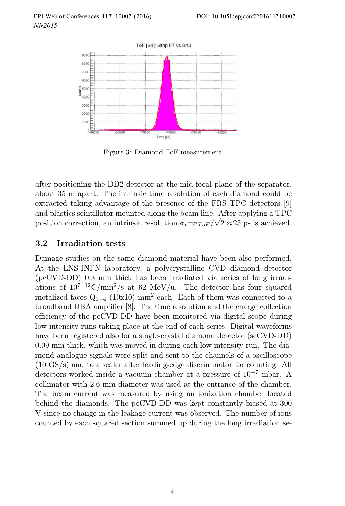

Figure 3: Diamond ToF measurement.

after positioning the DD2 detector at the mid-focal plane of the separator, about 35 m apart. The intrinsic time resolution of each diamond could be extracted taking advantage of the presence of the FRS TPC detectors [9] and plastics scintillator mounted along the beam line. After applying a TPC position correction, an intrinsic resolution  $\sigma_t = \sigma_{ToF} / \sqrt{2} \approx 25$  ps is achieved.

#### **3.2 Irradiation tests**

Damage studies on the same diamond material have been also performed. At the LNS-INFN laboratory, a polycrystalline CVD diamond detector (pcCVD-DD) 0.3 mm thick has been irradiated via series of long irradiations of  $10^{7}$   $^{12}$ C/mm<sup>2</sup>/s at 62 MeV/u. The detector has four squared metalized faces  $Q_{1-4}$  (10x10) mm<sup>2</sup> each. Each of them was connected to a broadband DBA amplifier [8]. The time resolution and the charge collection efficiency of the pcCVD-DD have been monitored via digital scope during low intensity runs taking place at the end of each series. Digital waveforms have been registered also for a single-crystal diamond detector (scCVD-DD) 0.09 mm thick, which was moved in during each low intensity run. The diamond analogue signals were split and sent to the channels of a oscilloscope (10 GS/s) and to a scaler after leading-edge discriminator for counting. All detectors worked inside a vacuum chamber at a pressure of 10−<sup>7</sup> mbar. A collimator with 2.6 mm diameter was used at the entrance of the chamber. The beam current was measured by using an ionization chamber located behind the diamonds. The pcCVD-DD was kept constantly biased at 300 V since no change in the leakage current was observed. The number of ions counted by each squared section summed up during the long irradiation se-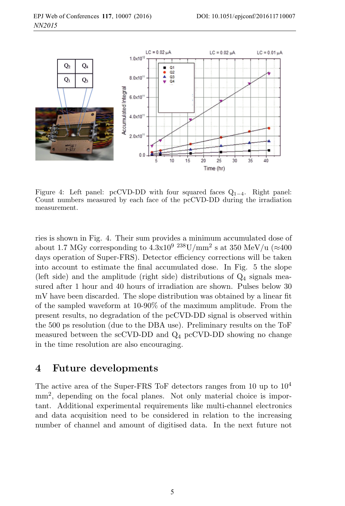

Figure 4: Left panel: pcCVD-DD with four squared faces  $Q_{1-4}$ . Right panel: Count numbers measured by each face of the pcCVD-DD during the irradiation measurement.

ries is shown in Fig. 4. Their sum provides a minimum accumulated dose of about 1.7 MGy corresponding to  $4.3 \times 10^{9}$   $^{238}$ U/mm<sup>2</sup> s at 350 MeV/u ( $\approx 400$ ) days operation of Super-FRS). Detector efficiency corrections will be taken into account to estimate the final accumulated dose. In Fig. 5 the slope (left side) and the amplitude (right side) distributions of  $Q_4$  signals measured after 1 hour and 40 hours of irradiation are shown. Pulses below 30 mV have been discarded. The slope distribution was obtained by a linear fit of the sampled waveform at 10-90% of the maximum amplitude. From the present results, no degradation of the pcCVD-DD signal is observed within the 500 ps resolution (due to the DBA use). Preliminary results on the ToF measured between the scCVD-DD and Q<sup>4</sup> pcCVD-DD showing no change in the time resolution are also encouraging.

## **4 Future developments**

The active area of the Super-FRS ToF detectors ranges from 10 up to 10<sup>4</sup> mm<sup>2</sup>, depending on the focal planes. Not only material choice is important. Additional experimental requirements like multi-channel electronics and data acquisition need to be considered in relation to the increasing number of channel and amount of digitised data. In the next future not